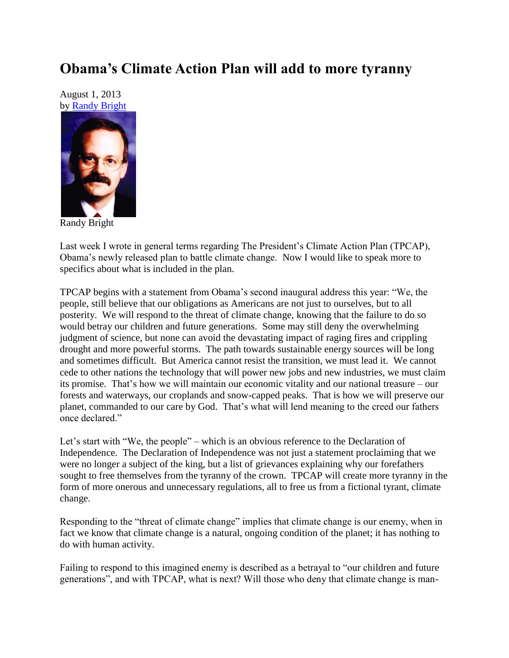## **Obama's Climate Action Plan will add to more tyranny**

August 1, 2013 by [Randy Bright](http://tulsabeacon.com/writers/randy-bright/)



Randy Bright

Last week I wrote in general terms regarding The President's Climate Action Plan (TPCAP), Obama's newly released plan to battle climate change. Now I would like to speak more to specifics about what is included in the plan.

TPCAP begins with a statement from Obama's second inaugural address this year: "We, the people, still believe that our obligations as Americans are not just to ourselves, but to all posterity. We will respond to the threat of climate change, knowing that the failure to do so would betray our children and future generations. Some may still deny the overwhelming judgment of science, but none can avoid the devastating impact of raging fires and crippling drought and more powerful storms. The path towards sustainable energy sources will be long and sometimes difficult. But America cannot resist the transition, we must lead it. We cannot cede to other nations the technology that will power new jobs and new industries, we must claim its promise. That's how we will maintain our economic vitality and our national treasure – our forests and waterways, our croplands and snow-capped peaks. That is how we will preserve our planet, commanded to our care by God. That's what will lend meaning to the creed our fathers once declared."

Let's start with "We, the people" – which is an obvious reference to the Declaration of Independence. The Declaration of Independence was not just a statement proclaiming that we were no longer a subject of the king, but a list of grievances explaining why our forefathers sought to free themselves from the tyranny of the crown. TPCAP will create more tyranny in the form of more onerous and unnecessary regulations, all to free us from a fictional tyrant, climate change.

Responding to the "threat of climate change" implies that climate change is our enemy, when in fact we know that climate change is a natural, ongoing condition of the planet; it has nothing to do with human activity.

Failing to respond to this imagined enemy is described as a betrayal to "our children and future generations", and with TPCAP, what is next? Will those who deny that climate change is man